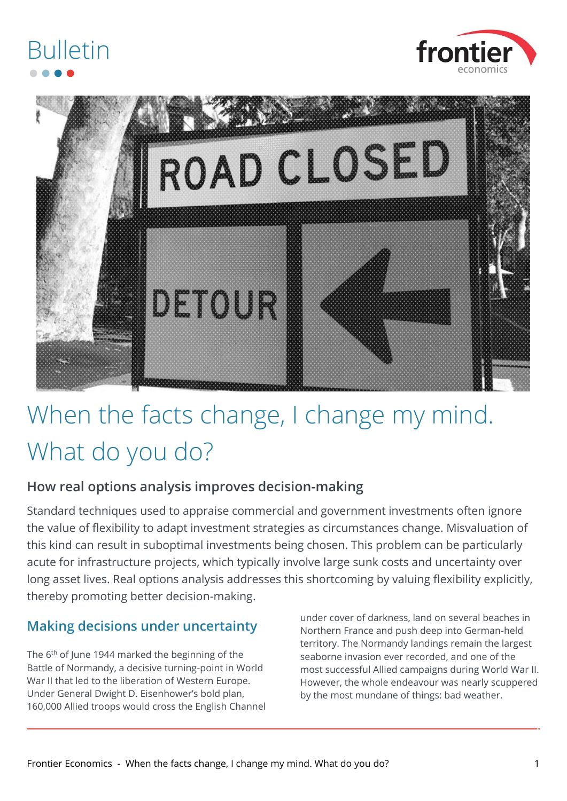



### When the facts change, I change my mind. What do you do?

### **How real options analysis improves decision-making**

Standard techniques used to appraise commercial and government investments often ignore the value of flexibility to adapt investment strategies as circumstances change. Misvaluation of this kind can result in suboptimal investments being chosen. This problem can be particularly acute for infrastructure projects, which typically involve large sunk costs and uncertainty over long asset lives. Real options analysis addresses this shortcoming by valuing flexibility explicitly, thereby promoting better decision-making.

### **Making decisions under uncertainty**

The 6<sup>th</sup> of June 1944 marked the beginning of the Battle of Normandy, a decisive turning-point in World War II that led to the liberation of Western Europe. Under General Dwight D. Eisenhower's bold plan, 160,000 Allied troops would cross the English Channel under cover of darkness, land on several beaches in Northern France and push deep into German-held territory. The Normandy landings remain the largest seaborne invasion ever recorded, and one of the most successful Allied campaigns during World War II. However, the whole endeavour was nearly scuppered by the most mundane of things: bad weather.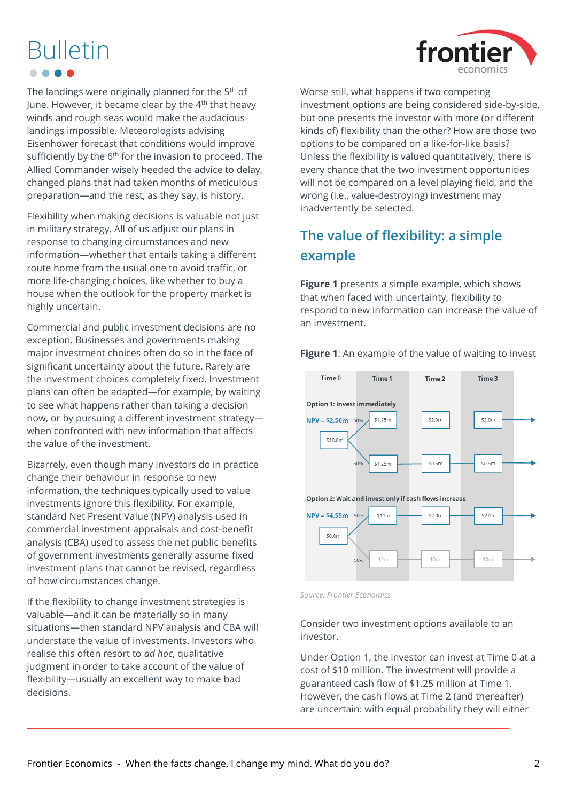

The landings were originally planned for the 5<sup>th</sup> of June. However, it became clear by the  $4<sup>th</sup>$  that heavy winds and rough seas would make the audacious landings impossible. Meteorologists advising Eisenhower forecast that conditions would improve sufficiently by the 6<sup>th</sup> for the invasion to proceed. The Allied Commander wisely heeded the advice to delay, changed plans that had taken months of meticulous preparation—and the rest, as they say, is history.

Flexibility when making decisions is valuable not just in military strategy. All of us adjust our plans in response to changing circumstances and new information—whether that entails taking a different route home from the usual one to avoid traffic, or more life-changing choices, like whether to buy a house when the outlook for the property market is highly uncertain.

Commercial and public investment decisions are no exception. Businesses and governments making major investment choices often do so in the face of significant uncertainty about the future. Rarely are the investment choices completely fixed. Investment plans can often be adapted—for example, by waiting to see what happens rather than taking a decision now, or by pursuing a different investment strategy when confronted with new information that affects the value of the investment.

Bizarrely, even though many investors do in practice change their behaviour in response to new information, the techniques typically used to value investments ignore this flexibility. For example, standard Net Present Value (NPV) analysis used in commercial investment appraisals and cost-benefit analysis (CBA) used to assess the net public benefits of government investments generally assume fixed investment plans that cannot be revised, regardless of how circumstances change.

If the flexibility to change investment strategies is valuable—and it can be materially so in many situations—then standard NPV analysis and CBA will understate the value of investments. Investors who realise this often resort to *ad hoc*, qualitative judgment in order to take account of the value of flexibility—usually an excellent way to make bad decisions.

Worse still, what happens if two competing investment options are being considered side-by-side, but one presents the investor with more (or different kinds of) flexibility than the other? How are those two options to be compared on a like-for-like basis? Unless the flexibility is valued quantitatively, there is every chance that the two investment opportunities will not be compared on a level playing field, and the wrong (i.e., value-destroying) investment may inadvertently be selected.

### **The value of flexibility: a simple example**

**[Figure 1](#page-1-0)** presents a simple example, which shows that when faced with uncertainty, flexibility to respond to new information can increase the value of an investment.

<span id="page-1-0"></span>**Figure 1:** An example of the value of waiting to invest



*Source: Frontier Economics*

Consider two investment options available to an investor.

Under Option 1, the investor can invest at Time 0 at a cost of \$10 million. The investment will provide a guaranteed cash flow of \$1.25 million at Time 1. However, the cash flows at Time 2 (and thereafter) are uncertain: with equal probability they will either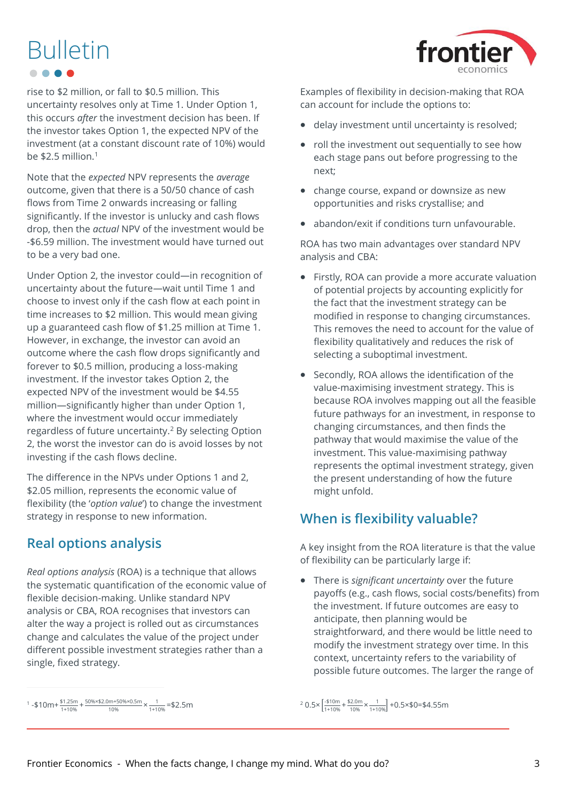

rise to \$2 million, or fall to \$0.5 million. This uncertainty resolves only at Time 1. Under Option 1, this occurs *after* the investment decision has been. If the investor takes Option 1, the expected NPV of the investment (at a constant discount rate of 10%) would be \$2.5 million.<sup>1</sup>

Note that the *expected* NPV represents the *average* outcome, given that there is a 50/50 chance of cash flows from Time 2 onwards increasing or falling significantly. If the investor is unlucky and cash flows drop, then the *actual* NPV of the investment would be -\$6.59 million. The investment would have turned out to be a very bad one.

Under Option 2, the investor could—in recognition of uncertainty about the future—wait until Time 1 and choose to invest only if the cash flow at each point in time increases to \$2 million. This would mean giving up a guaranteed cash flow of \$1.25 million at Time 1. However, in exchange, the investor can avoid an outcome where the cash flow drops significantly and forever to \$0.5 million, producing a loss-making investment. If the investor takes Option 2, the expected NPV of the investment would be \$4.55 million—significantly higher than under Option 1, where the investment would occur immediately regardless of future uncertainty.<sup>2</sup> By selecting Option 2, the worst the investor can do is avoid losses by not investing if the cash flows decline.

The difference in the NPVs under Options 1 and 2, \$2.05 million, represents the economic value of flexibility (the '*option value*') to change the investment strategy in response to new information.

### **Real options analysis**

*Real options analysis* (ROA) is a technique that allows the systematic quantification of the economic value of flexible decision-making. Unlike standard NPV analysis or CBA, ROA recognises that investors can alter the way a project is rolled out as circumstances change and calculates the value of the project under different possible investment strategies rather than a single, fixed strategy.

Examples of flexibility in decision-making that ROA can account for include the options to:

- delay investment until uncertainty is resolved;
- roll the investment out sequentially to see how each stage pans out before progressing to the next;
- change course, expand or downsize as new opportunities and risks crystallise; and
- abandon/exit if conditions turn unfavourable.

ROA has two main advantages over standard NPV analysis and CBA:

- Firstly, ROA can provide a more accurate valuation of potential projects by accounting explicitly for the fact that the investment strategy can be modified in response to changing circumstances. This removes the need to account for the value of flexibility qualitatively and reduces the risk of selecting a suboptimal investment.
- Secondly, ROA allows the identification of the value-maximising investment strategy. This is because ROA involves mapping out all the feasible future pathways for an investment, in response to changing circumstances, and then finds the pathway that would maximise the value of the investment. This value-maximising pathway represents the optimal investment strategy, given the present understanding of how the future might unfold.

### **When is flexibility valuable?**

A key insight from the ROA literature is that the value of flexibility can be particularly large if:

• There is *significant uncertainty* over the future payoffs (e.g., cash flows, social costs/benefits) from the investment. If future outcomes are easy to anticipate, then planning would be straightforward, and there would be little need to modify the investment strategy over time. In this context, uncertainty refers to the variability of possible future outcomes. The larger the range of

 $1 - $10m + \frac{$1.25m}{1 + 10\%} + \frac{50\% \times $2.0m + 50\% \times 0.5m}{10\%}$  $\frac{m+50\% \times 0.5m}{10\%} \times \frac{1}{1+1}$  $\frac{1}{1+10\%}$  = \$2.5m

 $^{2}$  0.5×  $\frac{510m}{1.100}$  $\frac{1+10\%}{1+10\%} + \frac{2.0m}{10\%}$  $\frac{152.0 \text{m}}{10\%}$  ×  $\frac{1}{1+10\%}$  +0.5×\$0=\$4.55m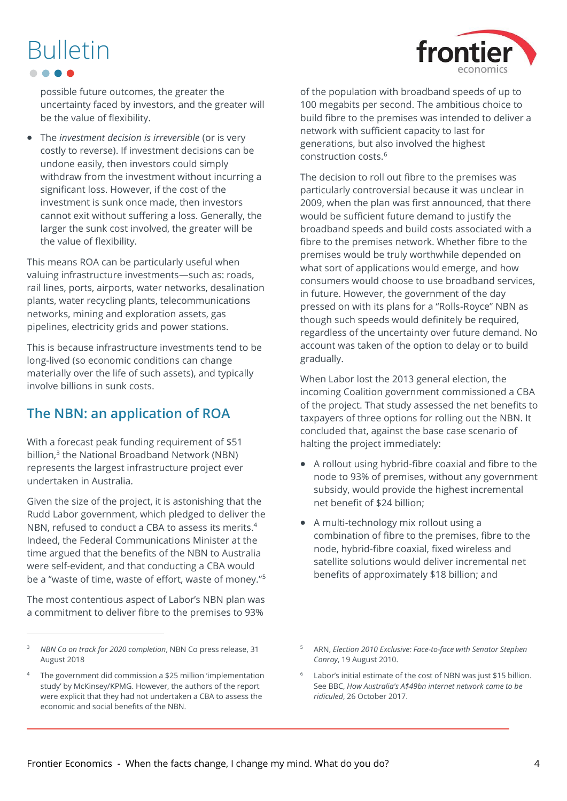possible future outcomes, the greater the uncertainty faced by investors, and the greater will be the value of flexibility.

• The *investment decision is irreversible* (or is very costly to reverse). If investment decisions can be undone easily, then investors could simply withdraw from the investment without incurring a significant loss. However, if the cost of the investment is sunk once made, then investors cannot exit without suffering a loss. Generally, the larger the sunk cost involved, the greater will be the value of flexibility.

This means ROA can be particularly useful when valuing infrastructure investments—such as: roads, rail lines, ports, airports, water networks, desalination plants, water recycling plants, telecommunications networks, mining and exploration assets, gas pipelines, electricity grids and power stations.

This is because infrastructure investments tend to be long-lived (so economic conditions can change materially over the life of such assets), and typically involve billions in sunk costs.

### **The NBN: an application of ROA**

With a forecast peak funding requirement of \$51 billion,<sup>3</sup> the National Broadband Network (NBN) represents the largest infrastructure project ever undertaken in Australia.

Given the size of the project, it is astonishing that the Rudd Labor government, which pledged to deliver the NBN, refused to conduct a CBA to assess its merits. 4 Indeed, the Federal Communications Minister at the time argued that the benefits of the NBN to Australia were self-evident, and that conducting a CBA would be a "waste of time, waste of effort, waste of money."<sup>5</sup>

The most contentious aspect of Labor's NBN plan was a commitment to deliver fibre to the premises to 93%

of the population with broadband speeds of up to 100 megabits per second. The ambitious choice to build fibre to the premises was intended to deliver a network with sufficient capacity to last for generations, but also involved the highest construction costs.<sup>6</sup>

The decision to roll out fibre to the premises was particularly controversial because it was unclear in 2009, when the plan was first announced, that there would be sufficient future demand to justify the broadband speeds and build costs associated with a fibre to the premises network. Whether fibre to the premises would be truly worthwhile depended on what sort of applications would emerge, and how consumers would choose to use broadband services, in future. However, the government of the day pressed on with its plans for a "Rolls-Royce" NBN as though such speeds would definitely be required, regardless of the uncertainty over future demand. No account was taken of the option to delay or to build gradually.

When Labor lost the 2013 general election, the incoming Coalition government commissioned a CBA of the project. That study assessed the net benefits to taxpayers of three options for rolling out the NBN. It concluded that, against the base case scenario of halting the project immediately:

- A rollout using hybrid-fibre coaxial and fibre to the node to 93% of premises, without any government subsidy, would provide the highest incremental net benefit of \$24 billion;
- A multi-technology mix rollout using a combination of fibre to the premises, fibre to the node, hybrid-fibre coaxial, fixed wireless and satellite solutions would deliver incremental net benefits of approximately \$18 billion; and



<sup>3</sup> *NBN Co on track for 2020 completion*, NBN Co press release, 31 August 2018

<sup>4</sup> The government did commission a \$25 million 'implementation study' by McKinsey/KPMG. However, the authors of the report were explicit that they had not undertaken a CBA to assess the economic and social benefits of the NBN.

<sup>5</sup> ARN, *Election 2010 Exclusive: Face-to-face with Senator Stephen Conroy*, 19 August 2010.

 $6$  Labor's initial estimate of the cost of NBN was just \$15 billion. See BBC, *How Australia's A\$49bn internet network came to be ridiculed*, 26 October 2017.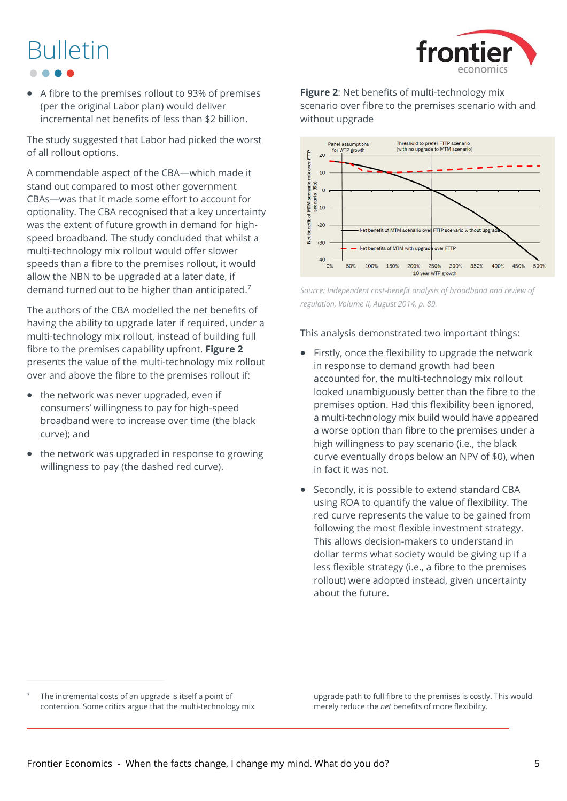## front

# Bulletin

• A fibre to the premises rollout to 93% of premises (per the original Labor plan) would deliver incremental net benefits of less than \$2 billion.

The study suggested that Labor had picked the worst of all rollout options.

A commendable aspect of the CBA—which made it stand out compared to most other government CBAs—was that it made some effort to account for optionality. The CBA recognised that a key uncertainty was the extent of future growth in demand for highspeed broadband. The study concluded that whilst a multi-technology mix rollout would offer slower speeds than a fibre to the premises rollout, it would allow the NBN to be upgraded at a later date, if demand turned out to be higher than anticipated.<sup>7</sup>

The authors of the CBA modelled the net benefits of having the ability to upgrade later if required, under a multi-technology mix rollout, instead of building full fibre to the premises capability upfront. **[Figure 2](#page-4-0)** presents the value of the multi-technology mix rollout over and above the fibre to the premises rollout if:

- the network was never upgraded, even if consumers' willingness to pay for high-speed broadband were to increase over time (the black curve); and
- the network was upgraded in response to growing willingness to pay (the dashed red curve).

<span id="page-4-0"></span>**Figure 2**: Net benefits of multi-technology mix scenario over fibre to the premises scenario with and without upgrade



*Source: Independent cost*‐*benefit analysis of broadband and review of regulation, Volume II, August 2014, p. 89.*

This analysis demonstrated two important things:

- Firstly, once the flexibility to upgrade the network in response to demand growth had been accounted for, the multi-technology mix rollout looked unambiguously better than the fibre to the premises option. Had this flexibility been ignored, a multi-technology mix build would have appeared a worse option than fibre to the premises under a high willingness to pay scenario (i.e., the black curve eventually drops below an NPV of \$0), when in fact it was not.
- Secondly, it is possible to extend standard CBA using ROA to quantify the value of flexibility. The red curve represents the value to be gained from following the most flexible investment strategy. This allows decision-makers to understand in dollar terms what society would be giving up if a less flexible strategy (i.e., a fibre to the premises rollout) were adopted instead, given uncertainty about the future.

 $7$  The incremental costs of an upgrade is itself a point of contention. Some critics argue that the multi-technology mix upgrade path to full fibre to the premises is costly. This would merely reduce the *net* benefits of more flexibility.